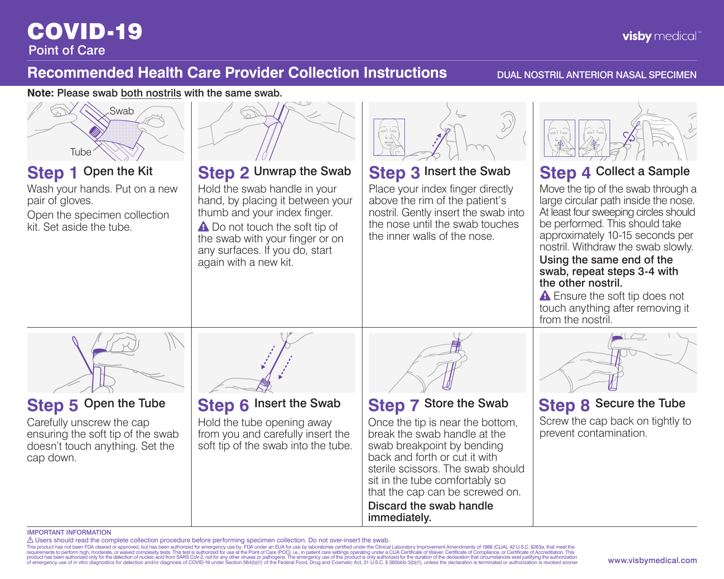### COVID-19 Point of Care

### **Recommended Health Care Provider Collection Instructions** DUAL NOSTRIL ANTERIOR NASAL SPECIMEN

**Note:** Please swab both nostrils with the same swab.



### IMPORTANT INFORMATION

△ Users should read the complete collection procedure before performing specimen collection. Do not over-insert the swab.<br>This product has not been fiDA cleared or approved, but has been authorized for emergency use by FD